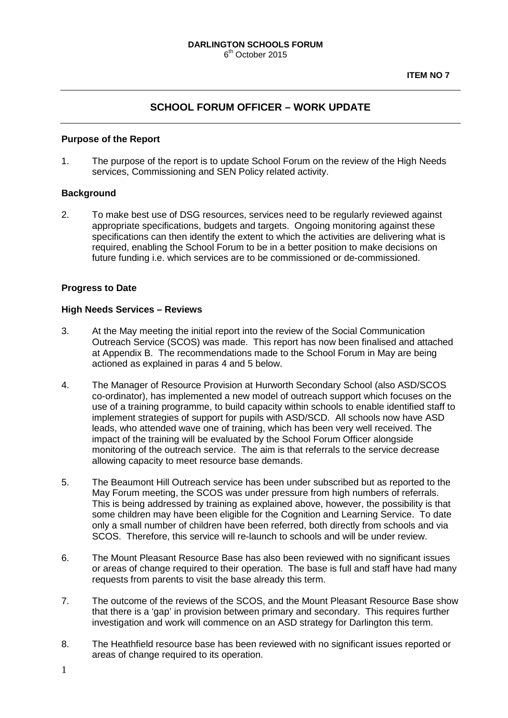# **SCHOOL FORUM OFFICER – WORK UPDATE**

#### **Purpose of the Report**

1. The purpose of the report is to update School Forum on the review of the High Needs services, Commissioning and SEN Policy related activity.

#### **Background**

2. To make best use of DSG resources, services need to be regularly reviewed against appropriate specifications, budgets and targets. Ongoing monitoring against these specifications can then identify the extent to which the activities are delivering what is required, enabling the School Forum to be in a better position to make decisions on future funding i.e. which services are to be commissioned or de-commissioned.

#### **Progress to Date**

#### **High Needs Services – Reviews**

- 3. At the May meeting the initial report into the review of the Social Communication Outreach Service (SCOS) was made. This report has now been finalised and attached at Appendix B. The recommendations made to the School Forum in May are being actioned as explained in paras 4 and 5 below.
- 4. The Manager of Resource Provision at Hurworth Secondary School (also ASD/SCOS co-ordinator), has implemented a new model of outreach support which focuses on the use of a training programme, to build capacity within schools to enable identified staff to implement strategies of support for pupils with ASD/SCD. All schools now have ASD leads, who attended wave one of training, which has been very well received. The impact of the training will be evaluated by the School Forum Officer alongside monitoring of the outreach service. The aim is that referrals to the service decrease allowing capacity to meet resource base demands.
- 5. The Beaumont Hill Outreach service has been under subscribed but as reported to the May Forum meeting, the SCOS was under pressure from high numbers of referrals. This is being addressed by training as explained above, however, the possibility is that some children may have been eligible for the Cognition and Learning Service. To date only a small number of children have been referred, both directly from schools and via SCOS. Therefore, this service will re-launch to schools and will be under review.
- 6. The Mount Pleasant Resource Base has also been reviewed with no significant issues or areas of change required to their operation. The base is full and staff have had many requests from parents to visit the base already this term.
- 7. The outcome of the reviews of the SCOS, and the Mount Pleasant Resource Base show that there is a 'gap' in provision between primary and secondary. This requires further investigation and work will commence on an ASD strategy for Darlington this term.
- 8. The Heathfield resource base has been reviewed with no significant issues reported or areas of change required to its operation.
- 1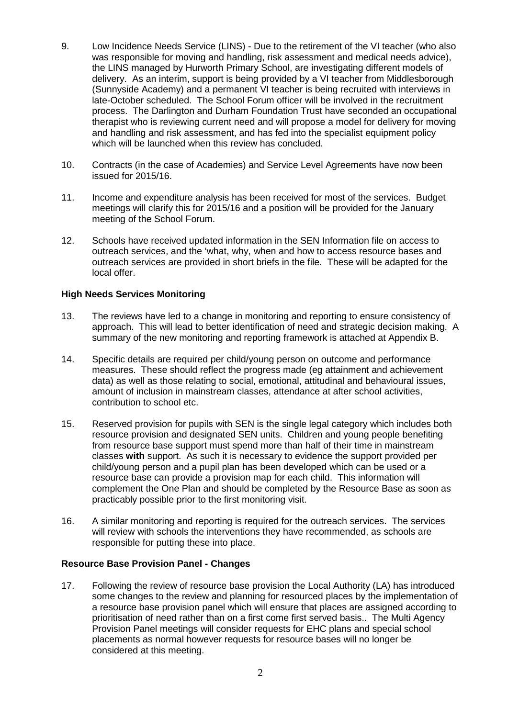- 9. Low Incidence Needs Service (LINS) Due to the retirement of the VI teacher (who also was responsible for moving and handling, risk assessment and medical needs advice), the LINS managed by Hurworth Primary School, are investigating different models of delivery. As an interim, support is being provided by a VI teacher from Middlesborough (Sunnyside Academy) and a permanent VI teacher is being recruited with interviews in late-October scheduled. The School Forum officer will be involved in the recruitment process. The Darlington and Durham Foundation Trust have seconded an occupational therapist who is reviewing current need and will propose a model for delivery for moving and handling and risk assessment, and has fed into the specialist equipment policy which will be launched when this review has concluded.
- 10. Contracts (in the case of Academies) and Service Level Agreements have now been issued for 2015/16.
- 11. Income and expenditure analysis has been received for most of the services. Budget meetings will clarify this for 2015/16 and a position will be provided for the January meeting of the School Forum.
- 12. Schools have received updated information in the SEN Information file on access to outreach services, and the 'what, why, when and how to access resource bases and outreach services are provided in short briefs in the file. These will be adapted for the local offer.

### **High Needs Services Monitoring**

- 13. The reviews have led to a change in monitoring and reporting to ensure consistency of approach. This will lead to better identification of need and strategic decision making. A summary of the new monitoring and reporting framework is attached at Appendix B.
- 14. Specific details are required per child/young person on outcome and performance measures. These should reflect the progress made (eg attainment and achievement data) as well as those relating to social, emotional, attitudinal and behavioural issues, amount of inclusion in mainstream classes, attendance at after school activities, contribution to school etc.
- 15. Reserved provision for pupils with SEN is the single legal category which includes both resource provision and designated SEN units. Children and young people benefiting from resource base support must spend more than half of their time in mainstream classes **with** support. As such it is necessary to evidence the support provided per child/young person and a pupil plan has been developed which can be used or a resource base can provide a provision map for each child. This information will complement the One Plan and should be completed by the Resource Base as soon as practicably possible prior to the first monitoring visit.
- 16. A similar monitoring and reporting is required for the outreach services. The services will review with schools the interventions they have recommended, as schools are responsible for putting these into place.

### **Resource Base Provision Panel - Changes**

17. Following the review of resource base provision the Local Authority (LA) has introduced some changes to the review and planning for resourced places by the implementation of a resource base provision panel which will ensure that places are assigned according to prioritisation of need rather than on a first come first served basis.. The Multi Agency Provision Panel meetings will consider requests for EHC plans and special school placements as normal however requests for resource bases will no longer be considered at this meeting.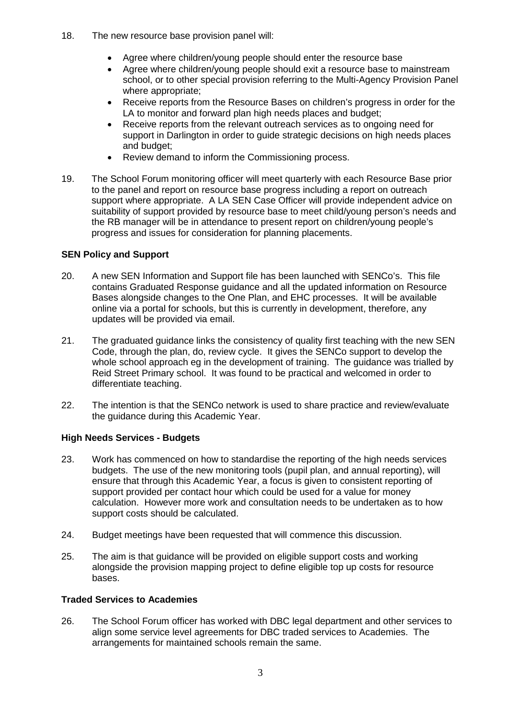- 18. The new resource base provision panel will:
	- Agree where children/young people should enter the resource base
	- Agree where children/young people should exit a resource base to mainstream school, or to other special provision referring to the Multi-Agency Provision Panel where appropriate;
	- Receive reports from the Resource Bases on children's progress in order for the LA to monitor and forward plan high needs places and budget;
	- Receive reports from the relevant outreach services as to ongoing need for support in Darlington in order to guide strategic decisions on high needs places and budget;
	- Review demand to inform the Commissioning process.
- 19. The School Forum monitoring officer will meet quarterly with each Resource Base prior to the panel and report on resource base progress including a report on outreach support where appropriate. A LA SEN Case Officer will provide independent advice on suitability of support provided by resource base to meet child/young person's needs and the RB manager will be in attendance to present report on children/young people's progress and issues for consideration for planning placements.

## **SEN Policy and Support**

- 20. A new SEN Information and Support file has been launched with SENCo's. This file contains Graduated Response guidance and all the updated information on Resource Bases alongside changes to the One Plan, and EHC processes. It will be available online via a portal for schools, but this is currently in development, therefore, any updates will be provided via email.
- 21. The graduated guidance links the consistency of quality first teaching with the new SEN Code, through the plan, do, review cycle. It gives the SENCo support to develop the whole school approach eg in the development of training. The guidance was trialled by Reid Street Primary school. It was found to be practical and welcomed in order to differentiate teaching.
- 22. The intention is that the SENCo network is used to share practice and review/evaluate the guidance during this Academic Year.

## **High Needs Services - Budgets**

- 23. Work has commenced on how to standardise the reporting of the high needs services budgets. The use of the new monitoring tools (pupil plan, and annual reporting), will ensure that through this Academic Year, a focus is given to consistent reporting of support provided per contact hour which could be used for a value for money calculation. However more work and consultation needs to be undertaken as to how support costs should be calculated.
- 24. Budget meetings have been requested that will commence this discussion.
- 25. The aim is that guidance will be provided on eligible support costs and working alongside the provision mapping project to define eligible top up costs for resource bases.

### **Traded Services to Academies**

26. The School Forum officer has worked with DBC legal department and other services to align some service level agreements for DBC traded services to Academies. The arrangements for maintained schools remain the same.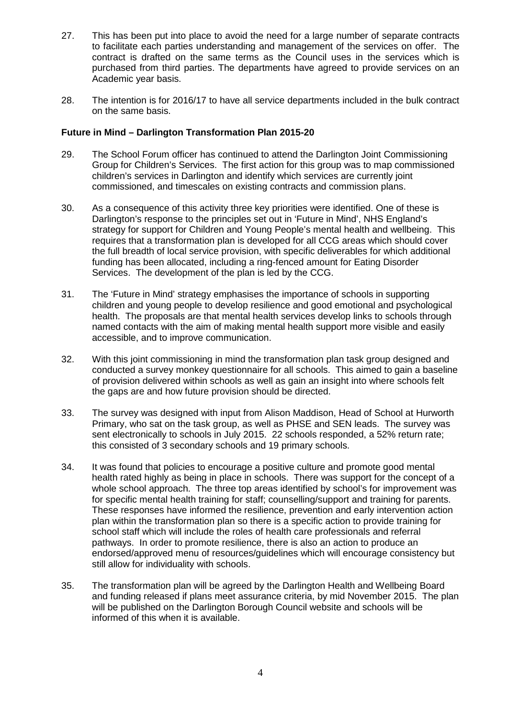- 27. This has been put into place to avoid the need for a large number of separate contracts to facilitate each parties understanding and management of the services on offer. The contract is drafted on the same terms as the Council uses in the services which is purchased from third parties. The departments have agreed to provide services on an Academic year basis.
- 28. The intention is for 2016/17 to have all service departments included in the bulk contract on the same basis.

### **Future in Mind – Darlington Transformation Plan 2015-20**

- 29. The School Forum officer has continued to attend the Darlington Joint Commissioning Group for Children's Services. The first action for this group was to map commissioned children's services in Darlington and identify which services are currently joint commissioned, and timescales on existing contracts and commission plans.
- 30. As a consequence of this activity three key priorities were identified. One of these is Darlington's response to the principles set out in 'Future in Mind', NHS England's strategy for support for Children and Young People's mental health and wellbeing. This requires that a transformation plan is developed for all CCG areas which should cover the full breadth of local service provision, with specific deliverables for which additional funding has been allocated, including a ring-fenced amount for Eating Disorder Services. The development of the plan is led by the CCG.
- 31. The 'Future in Mind' strategy emphasises the importance of schools in supporting children and young people to develop resilience and good emotional and psychological health. The proposals are that mental health services develop links to schools through named contacts with the aim of making mental health support more visible and easily accessible, and to improve communication.
- 32. With this joint commissioning in mind the transformation plan task group designed and conducted a survey monkey questionnaire for all schools. This aimed to gain a baseline of provision delivered within schools as well as gain an insight into where schools felt the gaps are and how future provision should be directed.
- 33. The survey was designed with input from Alison Maddison, Head of School at Hurworth Primary, who sat on the task group, as well as PHSE and SEN leads. The survey was sent electronically to schools in July 2015. 22 schools responded, a 52% return rate; this consisted of 3 secondary schools and 19 primary schools.
- 34. It was found that policies to encourage a positive culture and promote good mental health rated highly as being in place in schools. There was support for the concept of a whole school approach. The three top areas identified by school's for improvement was for specific mental health training for staff; counselling/support and training for parents. These responses have informed the resilience, prevention and early intervention action plan within the transformation plan so there is a specific action to provide training for school staff which will include the roles of health care professionals and referral pathways. In order to promote resilience, there is also an action to produce an endorsed/approved menu of resources/guidelines which will encourage consistency but still allow for individuality with schools.
- 35. The transformation plan will be agreed by the Darlington Health and Wellbeing Board and funding released if plans meet assurance criteria, by mid November 2015. The plan will be published on the Darlington Borough Council website and schools will be informed of this when it is available.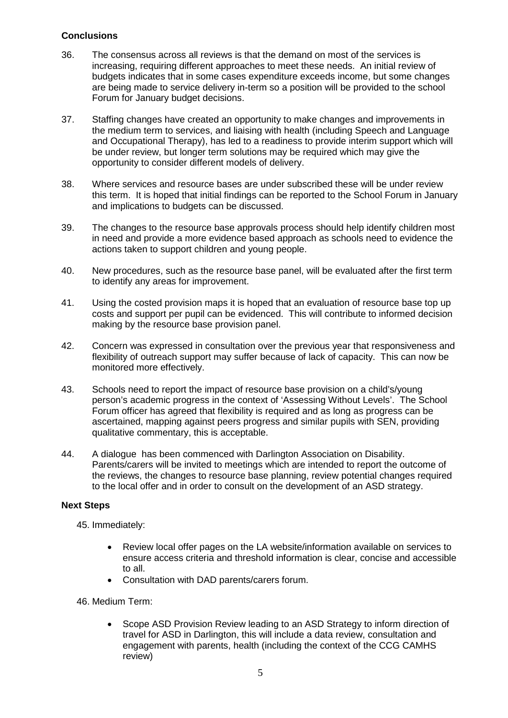## **Conclusions**

- 36. The consensus across all reviews is that the demand on most of the services is increasing, requiring different approaches to meet these needs. An initial review of budgets indicates that in some cases expenditure exceeds income, but some changes are being made to service delivery in-term so a position will be provided to the school Forum for January budget decisions.
- 37. Staffing changes have created an opportunity to make changes and improvements in the medium term to services, and liaising with health (including Speech and Language and Occupational Therapy), has led to a readiness to provide interim support which will be under review, but longer term solutions may be required which may give the opportunity to consider different models of delivery.
- 38. Where services and resource bases are under subscribed these will be under review this term. It is hoped that initial findings can be reported to the School Forum in January and implications to budgets can be discussed.
- 39. The changes to the resource base approvals process should help identify children most in need and provide a more evidence based approach as schools need to evidence the actions taken to support children and young people.
- 40. New procedures, such as the resource base panel, will be evaluated after the first term to identify any areas for improvement.
- 41. Using the costed provision maps it is hoped that an evaluation of resource base top up costs and support per pupil can be evidenced. This will contribute to informed decision making by the resource base provision panel.
- 42. Concern was expressed in consultation over the previous year that responsiveness and flexibility of outreach support may suffer because of lack of capacity. This can now be monitored more effectively.
- 43. Schools need to report the impact of resource base provision on a child's/young person's academic progress in the context of 'Assessing Without Levels'. The School Forum officer has agreed that flexibility is required and as long as progress can be ascertained, mapping against peers progress and similar pupils with SEN, providing qualitative commentary, this is acceptable.
- 44. A dialogue has been commenced with Darlington Association on Disability. Parents/carers will be invited to meetings which are intended to report the outcome of the reviews, the changes to resource base planning, review potential changes required to the local offer and in order to consult on the development of an ASD strategy.

### **Next Steps**

45. Immediately:

- Review local offer pages on the LA website/information available on services to ensure access criteria and threshold information is clear, concise and accessible to all.
- Consultation with DAD parents/carers forum.

### 46. Medium Term:

• Scope ASD Provision Review leading to an ASD Strategy to inform direction of travel for ASD in Darlington, this will include a data review, consultation and engagement with parents, health (including the context of the CCG CAMHS review)